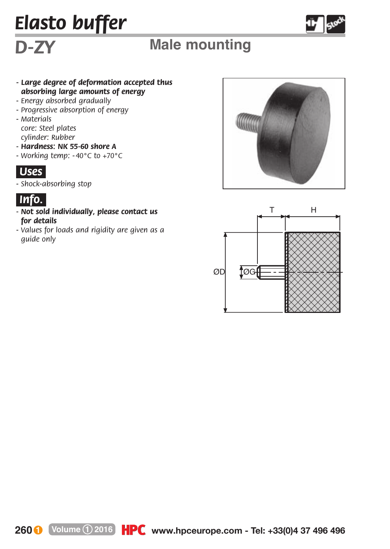# *Elasto buffer*



## *D-ZY* **Male mounting**

### *- Large degree of deformation accepted thus absorbing large amounts of energy*

- *Energy absorbed gradually*
- *Progressive absorption of energy*
- *Materials* 
	- *core: Steel plates cylinder: Rubber*
- *Hardness: NK 55-60 shore A*
- *Working temp: - 40°C to +70°C*



*- Shock-absorbing stop*



- *- Not sold individually, please contact us for details*
- *Values for loads and rigidity are given as a guide only*





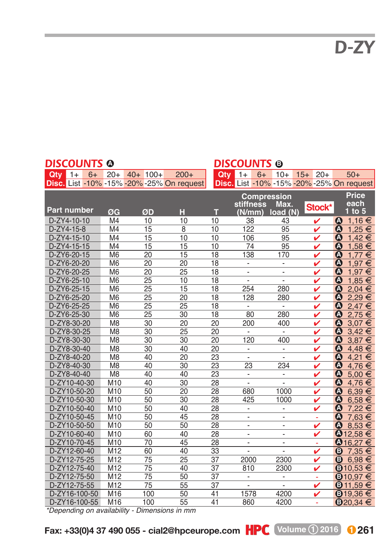*D-ZY*

#### **Part number ØG ØD H T stiffness (N/mm) Max. load (N) Price each 1 to 5 Compression** D-ZY4-10-10 M4 10 10 10 38 43 ✔ ● 1,16 <del>€</del> D-ZY4-15-8 M4 15 8 10 122 95 **√ 0 1**,25 <del>€</del><br>D-ZY4-15-10 M4 15 10 10 106 95 **√ 0 1**42 <del>F</del> D-ZY4-15-10 M4 15 10 10 106 95 ✔ ● 1,42 €  $\frac{D-2Y4-15-15}{D-2Y6-20-15}$  M4  $\frac{15}{20}$  15  $\frac{10}{15}$  10  $\frac{74}{20}$  1,776  $\frac{9}{20}$  1,776  $\frac{1}{20}$  1,776  $\frac{1}{20}$  1,776  $\frac{1}{20}$ D-ZY6-20-15 M6 20 15 18 138 170 ✔ ● 1,77 € D-ZY6-20-20 M6 20 20 18 - → V ● 1,97 € D-ZY6-20-25 M6 20 25 18 - →  $\sqrt{$  0 1,97 € D-ZY6-25-10 M6 25 10 18 - →  $\sqrt{$  0 1,85 € D-ZY6-25-15 M6 25 15 18 254 280 **⁄ <mark>Q</mark> 2,04 €**<br>D-ZY6-25-20 M6 25 20 18 128 280 **⁄ Q 2,29 €** D-ZY6-25-25 M6 25 25 18 - → V ● 2,47 €  $D-2Y6-25-30$  M6 25 30 18 80 280  $\checkmark$  0 2,75  $\checkmark$ <br>D-ZY8-30-20 M8 30 20 20 200 400  $\checkmark$  0 3,07  $\checkmark$ D-ZY8-30-20 M8 30 20 20 200 400 ✔ ● 3,07 € D-ZY8-30-25 M8 30 25 20 - ● ● ● 3,42 <del>€</del>  $D-ZY8-30-30$  M8 30 30 20 120 400 **/ 0** 3,87 E<br> $D-ZY8-30-40$  M8 30 40 20 **· / 0** 4 48 E D-ZY8-30-40 M8 30 40 20 - V ● 4,48 € D-ZY8-40-20 M8 40 20 23 - ► ● ● ● 4,21 D-ZY8-40-30 M8 40 30 23 23 234 ✔ ● 4,76 € D-ZY8-40-40 M8 40 40 23 - <del>V</del> **①** 5,00 € D-ZY10-40-30 M10 40 30 28 -  $\sqrt{24.76}$ D-ZY10-50-20 M10 50 20 28 680 1000 **/**<br>D-ZY10-50-30 M10 50 30 28 425 1000 **/**<br>D-ZY10-50-40 M10 50 40 28 - **/ D-ZY10-50-30 M10 50 30 28 425 1000 ✔ ● 6,58 €** D-ZY10-50-40 M10 50 40 28 - ► ● ● 7,22 <del>€</del> D-ZY10-50-45 M10 50 45 28 - - - ● 7,63 <del>€</del><br>D-ZY10-50-50 M10 50 50 28 - - - - **/** ● 8,53 <del>€</del> D-ZY10-50-50 M10 50 50 28 - - ✔ 8,53 F **D-ZY10-60-40** M10 60 40 28 - <del>/</del> **40** 28 D-ZY10-70-45 M10 70 45 28 - - - ● 016,27 <del>€</del> D-ZY12-60-40 M12 60 40 33 - ▼ ● 7,35 <del>€</del> D-ZY12-75-25 M12 75 25 37 2000 2300 ✔ **© 6,98 €** 0-ZY12-75-25 M12 75 25 37 2000 2300<br>0-ZY12-75-40 M12 75 40 37 810 2300<br>0-ZY12-75-50 M12 75 50 37 D-ZY12-75-50 M12 75 50 37 - - - ● 010,97 <del>€</del> D-ZY12-75-55 M12 75 55 37 - ► ● ● ● 11,59 <del>●</del> **D-ZY16-100-50 M16 100 50 41 1578 4200 ✔ © 19,36 €** D-ZY16-100-55 M16 100 55 41 860 4200 -**△** 1,16 € **A A A A △**  $6,39 \in$ **△**  $8,53 \in$ **A A A A**  $\check{\mathbf{O}}$ **A**  $\bar{\bm{o}}$ **A A A**  $\overline{46.27}$ **A A A A A A**  $\textcircled{B}$  7.35  $\in$  $\overline{6}$  6.98  $\in$  $\overline{6}$ 10.53  $\overline{6}$ **B**<sub>10.97</sub> € **B**<sub>11.59</sub> €  $\textbf{B}$ 20.34  $\in$ **Stock\* DISCOUNTS @ Qty** 1+ 6+ 20+ 40+ 100+ 200+ **Disc.** List -10% -15% -20% -25% On request **DISCOUNTS B Qty** 1+ 6+ 10+ 15+ 20+ 50+ **Disc.** List -10% -15% -20% -25% On request

*\*Depending on availability - Dimensions in mm*